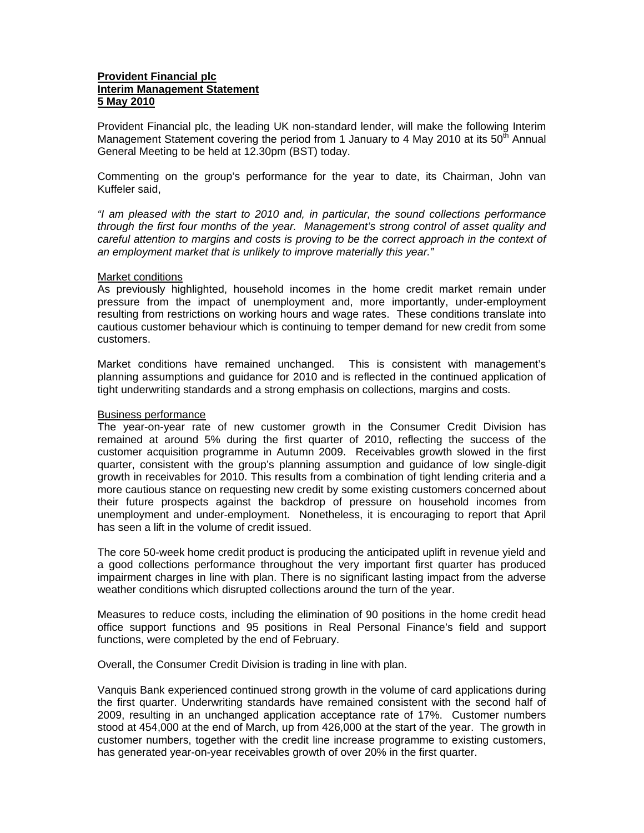# **Provident Financial plc Interim Management Statement 5 May 2010**

Provident Financial plc, the leading UK non-standard lender, will make the following Interim Management Statement covering the period from 1 January to 4 May 2010 at its  $50<sup>th</sup>$  Annual General Meeting to be held at 12.30pm (BST) today.

Commenting on the group's performance for the year to date, its Chairman, John van Kuffeler said,

*"I am pleased with the start to 2010 and, in particular, the sound collections performance through the first four months of the year. Management's strong control of asset quality and careful attention to margins and costs is proving to be the correct approach in the context of an employment market that is unlikely to improve materially this year."* 

## Market conditions

As previously highlighted, household incomes in the home credit market remain under pressure from the impact of unemployment and, more importantly, under-employment resulting from restrictions on working hours and wage rates. These conditions translate into cautious customer behaviour which is continuing to temper demand for new credit from some customers.

Market conditions have remained unchanged. This is consistent with management's planning assumptions and guidance for 2010 and is reflected in the continued application of tight underwriting standards and a strong emphasis on collections, margins and costs.

### Business performance

The year-on-year rate of new customer growth in the Consumer Credit Division has remained at around 5% during the first quarter of 2010, reflecting the success of the customer acquisition programme in Autumn 2009. Receivables growth slowed in the first quarter, consistent with the group's planning assumption and guidance of low single-digit growth in receivables for 2010. This results from a combination of tight lending criteria and a more cautious stance on requesting new credit by some existing customers concerned about their future prospects against the backdrop of pressure on household incomes from unemployment and under-employment. Nonetheless, it is encouraging to report that April has seen a lift in the volume of credit issued.

The core 50-week home credit product is producing the anticipated uplift in revenue yield and a good collections performance throughout the very important first quarter has produced impairment charges in line with plan. There is no significant lasting impact from the adverse weather conditions which disrupted collections around the turn of the year.

Measures to reduce costs, including the elimination of 90 positions in the home credit head office support functions and 95 positions in Real Personal Finance's field and support functions, were completed by the end of February.

Overall, the Consumer Credit Division is trading in line with plan.

Vanquis Bank experienced continued strong growth in the volume of card applications during the first quarter. Underwriting standards have remained consistent with the second half of 2009, resulting in an unchanged application acceptance rate of 17%. Customer numbers stood at 454,000 at the end of March, up from 426,000 at the start of the year. The growth in customer numbers, together with the credit line increase programme to existing customers, has generated year-on-year receivables growth of over 20% in the first quarter.